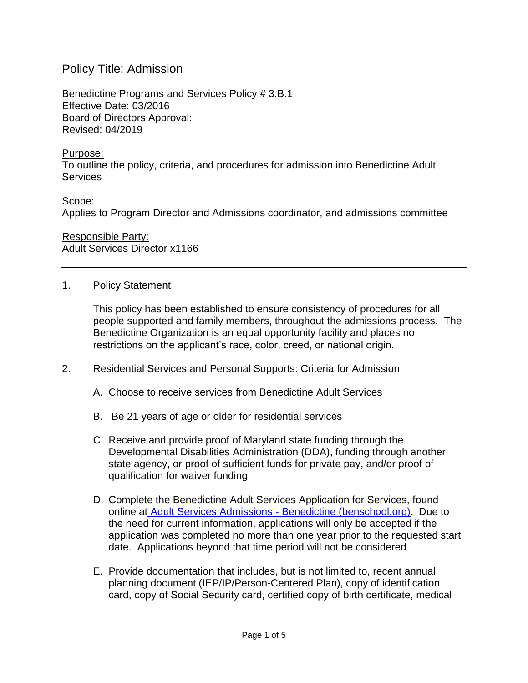## Policy Title: Admission

Benedictine Programs and Services Policy # 3.B.1 Effective Date: 03/2016 Board of Directors Approval: Revised: 04/2019

## Purpose:

To outline the policy, criteria, and procedures for admission into Benedictine Adult **Services** 

Scope: Applies to Program Director and Admissions coordinator, and admissions committee

Responsible Party: Adult Services Director x1166

## 1. Policy Statement

This policy has been established to ensure consistency of procedures for all people supported and family members, throughout the admissions process. The Benedictine Organization is an equal opportunity facility and places no restrictions on the applicant's race, color, creed, or national origin.

- 2. Residential Services and Personal Supports: Criteria for Admission
	- A. Choose to receive services from Benedictine Adult Services
	- B. Be 21 years of age or older for residential services
	- C. Receive and provide proof of Maryland state funding through the Developmental Disabilities Administration (DDA), funding through another state agency, or proof of sufficient funds for private pay, and/or proof of qualification for waiver funding
	- D. Complete the Benedictine Adult Services Application for Services, found online at Adult Services Admissions - [Benedictine \(benschool.org\).](https://benschool.org/adult-services/adult-services-admissions/) Due to the need for current information, applications will only be accepted if the application was completed no more than one year prior to the requested start date. Applications beyond that time period will not be considered
	- E. Provide documentation that includes, but is not limited to, recent annual planning document (IEP/IP/Person-Centered Plan), copy of identification card, copy of Social Security card, certified copy of birth certificate, medical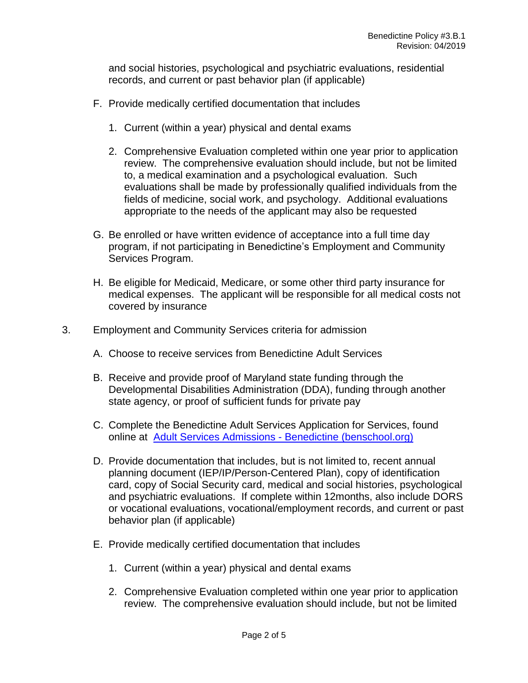and social histories, psychological and psychiatric evaluations, residential records, and current or past behavior plan (if applicable)

- F. Provide medically certified documentation that includes
	- 1. Current (within a year) physical and dental exams
	- 2. Comprehensive Evaluation completed within one year prior to application review. The comprehensive evaluation should include, but not be limited to, a medical examination and a psychological evaluation. Such evaluations shall be made by professionally qualified individuals from the fields of medicine, social work, and psychology. Additional evaluations appropriate to the needs of the applicant may also be requested
- G. Be enrolled or have written evidence of acceptance into a full time day program, if not participating in Benedictine's Employment and Community Services Program.
- H. Be eligible for Medicaid, Medicare, or some other third party insurance for medical expenses. The applicant will be responsible for all medical costs not covered by insurance
- 3. Employment and Community Services criteria for admission
	- A. Choose to receive services from Benedictine Adult Services
	- B. Receive and provide proof of Maryland state funding through the Developmental Disabilities Administration (DDA), funding through another state agency, or proof of sufficient funds for private pay
	- C. Complete the Benedictine Adult Services Application for Services, found online at [Adult Services Admissions -](https://benschool.org/adult-services/adult-services-admissions/) Benedictine (benschool.org)
	- D. Provide documentation that includes, but is not limited to, recent annual planning document (IEP/IP/Person-Centered Plan), copy of identification card, copy of Social Security card, medical and social histories, psychological and psychiatric evaluations. If complete within 12months, also include DORS or vocational evaluations, vocational/employment records, and current or past behavior plan (if applicable)
	- E. Provide medically certified documentation that includes
		- 1. Current (within a year) physical and dental exams
		- 2. Comprehensive Evaluation completed within one year prior to application review. The comprehensive evaluation should include, but not be limited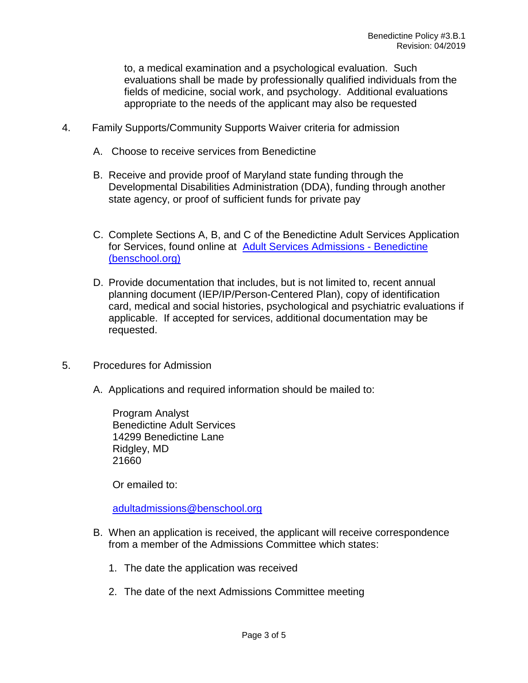to, a medical examination and a psychological evaluation. Such evaluations shall be made by professionally qualified individuals from the fields of medicine, social work, and psychology. Additional evaluations appropriate to the needs of the applicant may also be requested

- 4. Family Supports/Community Supports Waiver criteria for admission
	- A. Choose to receive services from Benedictine
	- B. Receive and provide proof of Maryland state funding through the Developmental Disabilities Administration (DDA), funding through another state agency, or proof of sufficient funds for private pay
	- C. Complete Sections A, B, and C of the Benedictine Adult Services Application for Services, found online at [Adult Services Admissions -](https://benschool.org/adult-services/adult-services-admissions/) Benedictine [\(benschool.org\)](https://benschool.org/adult-services/adult-services-admissions/)
	- D. Provide documentation that includes, but is not limited to, recent annual planning document (IEP/IP/Person-Centered Plan), copy of identification card, medical and social histories, psychological and psychiatric evaluations if applicable. If accepted for services, additional documentation may be requested.
- 5. Procedures for Admission
	- A. Applications and required information should be mailed to:

Program Analyst Benedictine Adult Services 14299 Benedictine Lane Ridgley, MD 21660

Or emailed to:

[adultadmissions@benschool.org](mailto:adultadmissions@benschool.org)

- B. When an application is received, the applicant will receive correspondence from a member of the Admissions Committee which states:
	- 1. The date the application was received
	- 2. The date of the next Admissions Committee meeting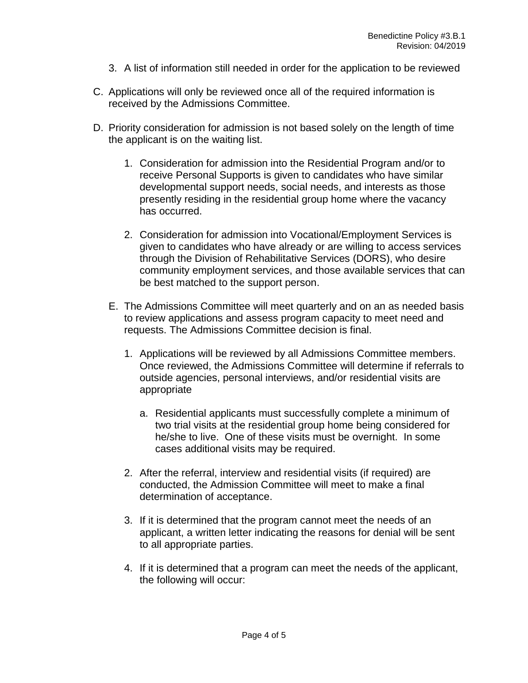- 3. A list of information still needed in order for the application to be reviewed
- C. Applications will only be reviewed once all of the required information is received by the Admissions Committee.
- D. Priority consideration for admission is not based solely on the length of time the applicant is on the waiting list.
	- 1. Consideration for admission into the Residential Program and/or to receive Personal Supports is given to candidates who have similar developmental support needs, social needs, and interests as those presently residing in the residential group home where the vacancy has occurred.
	- 2. Consideration for admission into Vocational/Employment Services is given to candidates who have already or are willing to access services through the Division of Rehabilitative Services (DORS), who desire community employment services, and those available services that can be best matched to the support person.
	- E. The Admissions Committee will meet quarterly and on an as needed basis to review applications and assess program capacity to meet need and requests. The Admissions Committee decision is final.
		- 1. Applications will be reviewed by all Admissions Committee members. Once reviewed, the Admissions Committee will determine if referrals to outside agencies, personal interviews, and/or residential visits are appropriate
			- a. Residential applicants must successfully complete a minimum of two trial visits at the residential group home being considered for he/she to live. One of these visits must be overnight. In some cases additional visits may be required.
		- 2. After the referral, interview and residential visits (if required) are conducted, the Admission Committee will meet to make a final determination of acceptance.
		- 3. If it is determined that the program cannot meet the needs of an applicant, a written letter indicating the reasons for denial will be sent to all appropriate parties.
		- 4. If it is determined that a program can meet the needs of the applicant, the following will occur: